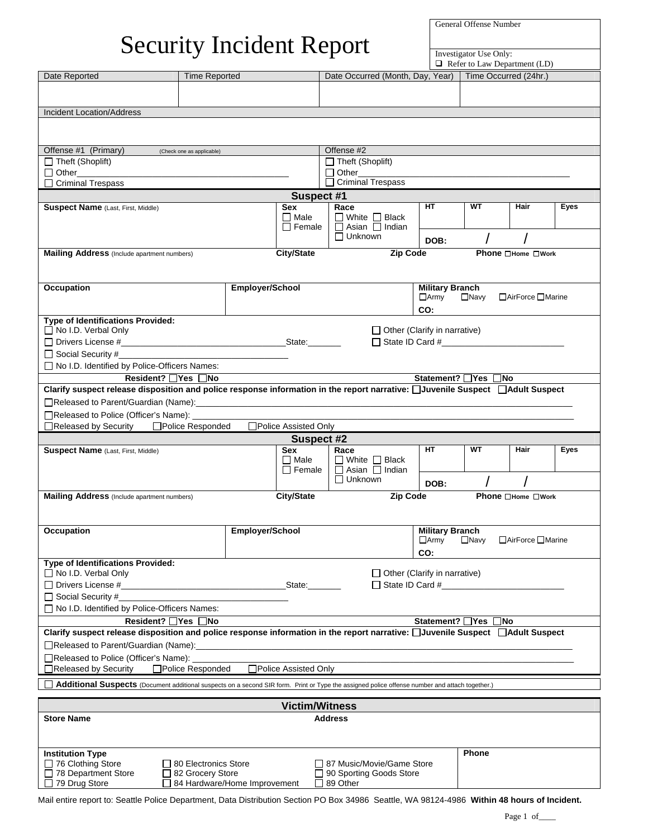General Offense Number

## Security Incident Report  $\frac{1}{\frac{1}{\text{Investigator Use Only:}}}$

|                                                                                                                                                                      |                             |                                     |                        |                                              |                                                          | $\Box$ Refer to Law Department (LD) |                          |             |  |
|----------------------------------------------------------------------------------------------------------------------------------------------------------------------|-----------------------------|-------------------------------------|------------------------|----------------------------------------------|----------------------------------------------------------|-------------------------------------|--------------------------|-------------|--|
| Date Reported                                                                                                                                                        | <b>Time Reported</b>        |                                     |                        |                                              | Date Occurred (Month, Day, Year)   Time Occurred (24hr.) |                                     |                          |             |  |
|                                                                                                                                                                      |                             |                                     |                        |                                              |                                                          |                                     |                          |             |  |
|                                                                                                                                                                      |                             |                                     |                        |                                              |                                                          |                                     |                          |             |  |
| <b>Incident Location/Address</b>                                                                                                                                     |                             |                                     |                        |                                              |                                                          |                                     |                          |             |  |
|                                                                                                                                                                      |                             |                                     |                        |                                              |                                                          |                                     |                          |             |  |
|                                                                                                                                                                      |                             |                                     |                        |                                              |                                                          |                                     |                          |             |  |
| Offense #1 (Primary)                                                                                                                                                 | (Check one as applicable)   |                                     |                        | Offense #2                                   |                                                          |                                     |                          |             |  |
| $\Box$ Theft (Shoplift)                                                                                                                                              |                             |                                     |                        | $\Box$ Theft (Shoplift)                      |                                                          |                                     |                          |             |  |
|                                                                                                                                                                      |                             |                                     |                        | $\Box$ Other                                 |                                                          |                                     |                          |             |  |
| □ Criminal Trespass                                                                                                                                                  |                             |                                     |                        | $\overline{\Box}$ Criminal Trespass          |                                                          |                                     |                          |             |  |
|                                                                                                                                                                      |                             |                                     | <b>Suspect #1</b>      |                                              |                                                          |                                     |                          |             |  |
| Suspect Name (Last, First, Middle)                                                                                                                                   |                             |                                     | <b>Sex</b>             | Race                                         | <b>HT</b>                                                | <b>WT</b>                           | Hair                     | <b>Eyes</b> |  |
|                                                                                                                                                                      |                             |                                     | $\Box$ Male            | $\Box$ White $\Box$ Black                    |                                                          |                                     |                          |             |  |
|                                                                                                                                                                      |                             |                                     | $\Box$ Female          | $\Box$ Asian $\Box$ Indian                   |                                                          |                                     |                          |             |  |
|                                                                                                                                                                      |                             |                                     |                        | $\Box$ Unknown                               | DOB:                                                     |                                     |                          |             |  |
| <b>Mailing Address</b> (Include apartment numbers)                                                                                                                   |                             |                                     | <b>City/State</b>      | <b>Zip Code</b>                              |                                                          |                                     | <b>Phone</b> □Home □Work |             |  |
|                                                                                                                                                                      |                             |                                     |                        |                                              |                                                          |                                     |                          |             |  |
|                                                                                                                                                                      |                             |                                     |                        |                                              |                                                          |                                     |                          |             |  |
| <b>Occupation</b>                                                                                                                                                    |                             | Employer/School                     |                        |                                              | <b>Military Branch</b>                                   |                                     |                          |             |  |
|                                                                                                                                                                      |                             |                                     |                        |                                              | $\Box$ Army                                              |                                     | □Navy □AirForce □Marine  |             |  |
|                                                                                                                                                                      |                             |                                     |                        |                                              | CO:                                                      |                                     |                          |             |  |
| Type of Identifications Provided:                                                                                                                                    |                             |                                     |                        |                                              |                                                          |                                     |                          |             |  |
| No I.D. Verbal Only                                                                                                                                                  |                             |                                     |                        |                                              | $\Box$ Other (Clarify in narrative)                      |                                     |                          |             |  |
|                                                                                                                                                                      |                             |                                     |                        |                                              |                                                          |                                     |                          |             |  |
|                                                                                                                                                                      |                             |                                     |                        |                                              |                                                          |                                     |                          |             |  |
| □ No I.D. Identified by Police-Officers Names:                                                                                                                       |                             |                                     |                        |                                              |                                                          |                                     |                          |             |  |
| Resident? Ves ONo                                                                                                                                                    |                             |                                     |                        |                                              | Statement? <sup>1</sup> Yes <b>No</b>                    |                                     |                          |             |  |
| Clarify suspect release disposition and police response information in the report narrative: □Juvenile Suspect □Adult Suspect                                        |                             |                                     |                        |                                              |                                                          |                                     |                          |             |  |
|                                                                                                                                                                      |                             |                                     |                        |                                              |                                                          |                                     |                          |             |  |
| □Released to Police (Officer's Name): ______                                                                                                                         |                             |                                     |                        |                                              |                                                          |                                     |                          |             |  |
| □Released by Security □Police Responded                                                                                                                              |                             |                                     | □Police Assisted Only  |                                              |                                                          |                                     |                          |             |  |
|                                                                                                                                                                      |                             |                                     | <b>Suspect #2</b>      |                                              |                                                          |                                     |                          |             |  |
|                                                                                                                                                                      |                             |                                     |                        |                                              |                                                          |                                     |                          |             |  |
| <b>Suspect Name</b> (Last, First, Middle)                                                                                                                            |                             |                                     | <b>Sex</b>             | Race                                         | <b>HT</b>                                                | <b>WT</b>                           | Hair                     | <b>Eyes</b> |  |
|                                                                                                                                                                      |                             |                                     | $\Box$ Male            | $\Box$ White $\Box$ Black                    |                                                          |                                     |                          |             |  |
|                                                                                                                                                                      |                             |                                     | $\Box$ Female          | $\Box$ Asian $\Box$ Indian<br>$\Box$ Unknown |                                                          |                                     |                          |             |  |
|                                                                                                                                                                      |                             |                                     |                        |                                              | DOB:                                                     |                                     |                          |             |  |
| <b>Mailing Address</b> (Include apartment numbers)                                                                                                                   |                             |                                     | City/State             | <b>Zip Code</b>                              |                                                          |                                     | <b>Phone</b> □Home □Work |             |  |
|                                                                                                                                                                      |                             |                                     |                        |                                              |                                                          |                                     |                          |             |  |
|                                                                                                                                                                      |                             |                                     |                        |                                              |                                                          |                                     |                          |             |  |
| Occupation                                                                                                                                                           |                             | <b>Emplover/School</b>              |                        |                                              | <b>Military Branch</b>                                   |                                     |                          |             |  |
|                                                                                                                                                                      |                             |                                     |                        |                                              | $\Box$ Army                                              | $\Box$ Navy                         | □ AirForce □ Marine      |             |  |
|                                                                                                                                                                      |                             |                                     |                        |                                              | CO:                                                      |                                     |                          |             |  |
| Type of Identifications Provided:                                                                                                                                    |                             |                                     |                        |                                              |                                                          |                                     |                          |             |  |
| □ No I.D. Verbal Only                                                                                                                                                |                             |                                     |                        |                                              | $\Box$ Other (Clarify in narrative)                      |                                     | $\Box$ State ID Card #   |             |  |
|                                                                                                                                                                      |                             |                                     |                        |                                              |                                                          |                                     |                          |             |  |
| $\Box$ Social Security #                                                                                                                                             |                             |                                     |                        |                                              |                                                          |                                     |                          |             |  |
| □ No I.D. Identified by Police-Officers Names:                                                                                                                       |                             |                                     |                        |                                              |                                                          |                                     |                          |             |  |
| Resident? <sup>1</sup> Yes <b>No</b>                                                                                                                                 |                             |                                     |                        |                                              | Statement? □Yes □No                                      |                                     |                          |             |  |
| Clarify suspect release disposition and police response information in the report narrative: □Juvenile Suspect □Adult Suspect                                        |                             |                                     |                        |                                              |                                                          |                                     |                          |             |  |
| □Released to Parent/Guardian (Name):<br>□Released to Parent/Guardian (Name):                                                                                         |                             |                                     |                        |                                              |                                                          |                                     |                          |             |  |
| □Released to Police (Officer's Name): __________                                                                                                                     |                             |                                     |                        |                                              |                                                          |                                     |                          |             |  |
| ■Released by Security<br>□Police Responded                                                                                                                           |                             |                                     | □ Police Assisted Only |                                              |                                                          |                                     |                          |             |  |
| Additional Suspects (Document additional suspects on a second SIR form. Print or Type the assigned police offense number and attach together.)                       |                             |                                     |                        |                                              |                                                          |                                     |                          |             |  |
|                                                                                                                                                                      |                             |                                     |                        |                                              |                                                          |                                     |                          |             |  |
|                                                                                                                                                                      |                             |                                     | <b>Victim/Witness</b>  |                                              |                                                          |                                     |                          |             |  |
| <b>Store Name</b>                                                                                                                                                    |                             |                                     |                        | <b>Address</b>                               |                                                          |                                     |                          |             |  |
|                                                                                                                                                                      |                             |                                     |                        |                                              |                                                          |                                     |                          |             |  |
|                                                                                                                                                                      |                             |                                     |                        |                                              |                                                          |                                     |                          |             |  |
| <b>Institution Type</b>                                                                                                                                              |                             |                                     |                        |                                              |                                                          | Phone                               |                          |             |  |
| $\Box$ 76 Clothing Store                                                                                                                                             | $\Box$ 80 Electronics Store |                                     |                        | □ 87 Music/Movie/Game Store                  |                                                          |                                     |                          |             |  |
| 78 Department Store                                                                                                                                                  | □ 82 Grocery Store          |                                     |                        | □ 90 Sporting Goods Store                    |                                                          |                                     |                          |             |  |
| $\Box$ 79 Drug Store<br>Mail entire report to: Seattle Police Department, Data Distribution Section PO Box 34986 Seattle, WA 98124-4986 Within 48 hours of Incident. |                             | $\Box$ 84 Hardware/Home Improvement |                        | $\Box$ 89 Other                              |                                                          |                                     |                          |             |  |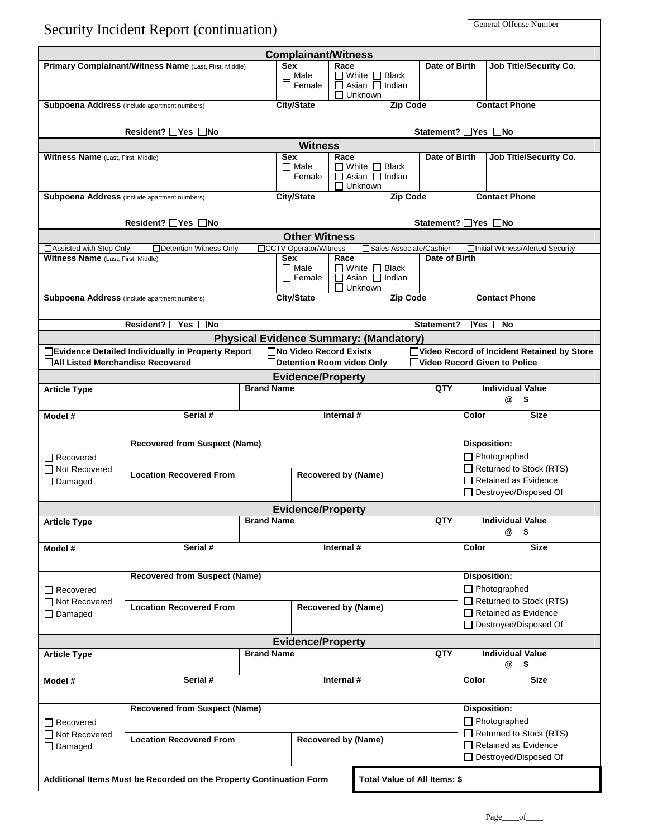| <b>Security Incident Report (continuation)</b>                                          |                                                                                                     |                                      |                   |                                                                                                              |                            |                                                                              |                 | <b>General Offense Number</b> |                                                                                        |                                             |  |
|-----------------------------------------------------------------------------------------|-----------------------------------------------------------------------------------------------------|--------------------------------------|-------------------|--------------------------------------------------------------------------------------------------------------|----------------------------|------------------------------------------------------------------------------|-----------------|-------------------------------|----------------------------------------------------------------------------------------|---------------------------------------------|--|
|                                                                                         |                                                                                                     |                                      |                   | <b>Complainant/Witness</b><br><b>Sex</b>                                                                     |                            |                                                                              |                 |                               |                                                                                        |                                             |  |
| Primary Complainant/Witness Name (Last, First, Middle)                                  |                                                                                                     |                                      |                   | Race<br>$\Box$ Male<br>$\Box$ White $\Box$ Black<br>$\Box$ Female<br>$\Box$ Asian $\Box$ Indian<br>□ Unknown |                            |                                                                              | Date of Birth   |                               | Job Title/Security Co.                                                                 |                                             |  |
| Subpoena Address (Include apartment numbers)                                            |                                                                                                     |                                      |                   | <b>City/State</b>                                                                                            |                            | <b>Zip Code</b>                                                              |                 |                               | <b>Contact Phone</b>                                                                   |                                             |  |
|                                                                                         | Resident? 7Yes ∩No                                                                                  |                                      |                   |                                                                                                              |                            |                                                                              | Statement? □Yes |                               | $\square$ No                                                                           |                                             |  |
|                                                                                         |                                                                                                     |                                      |                   |                                                                                                              | <b>Witness</b>             |                                                                              |                 |                               |                                                                                        |                                             |  |
| <b>Witness Name</b> (Last, First, Middle)                                               |                                                                                                     |                                      |                   | <b>Sex</b><br>$\Box$ Male<br>$\Box$ Female                                                                   | Race                       | $\Box$ White $\Box$ Black<br>$\Box$ Asian $\Box$ Indian<br>$\square$ Unknown | Date of Birth   |                               |                                                                                        | Job Title/Security Co.                      |  |
| <b>Subpoena Address</b> (Include apartment numbers)                                     |                                                                                                     |                                      |                   | <b>City/State</b>                                                                                            |                            | <b>Zip Code</b>                                                              |                 |                               | <b>Contact Phone</b>                                                                   |                                             |  |
|                                                                                         | Resident? $\Box$ Yes $\Box$ No                                                                      |                                      |                   |                                                                                                              |                            |                                                                              | Statement? □Yes |                               | ∃No                                                                                    |                                             |  |
|                                                                                         |                                                                                                     |                                      |                   |                                                                                                              | <b>Other Witness</b>       |                                                                              |                 |                               |                                                                                        |                                             |  |
| □ Assisted with Stop Only<br>Witness Name (Last, First, Middle)                         |                                                                                                     | □Detention Witness Only              |                   | □CCTV Operator/Witness<br>Sex                                                                                |                            | □Sales Associate/Cashier                                                     | Date of Birth   |                               |                                                                                        | □Initial Witness/Alerted Security           |  |
|                                                                                         |                                                                                                     |                                      |                   | Race<br>$\Box$ Male<br>$\Box$ White $\Box$ Black<br>$\Box$ Female<br>$\Box$ Asian $\Box$ Indian<br>Unknown   |                            |                                                                              |                 |                               |                                                                                        |                                             |  |
| Subpoena Address (Include apartment numbers)                                            |                                                                                                     |                                      |                   | <b>City/State</b>                                                                                            |                            | <b>Zip Code</b>                                                              |                 |                               | <b>Contact Phone</b>                                                                   |                                             |  |
|                                                                                         | Resident? <sup>1</sup> Yes <b>No</b>                                                                |                                      |                   |                                                                                                              |                            |                                                                              | Statement? ∏Yes |                               | ∃No                                                                                    |                                             |  |
|                                                                                         |                                                                                                     |                                      |                   |                                                                                                              |                            | <b>Physical Evidence Summary: (Mandatory)</b>                                |                 |                               |                                                                                        |                                             |  |
| □Evidence Detailed Individually in Property Report<br>□All Listed Merchandise Recovered |                                                                                                     |                                      |                   | □No Video Record Exists<br>□Detention Room video Only                                                        |                            |                                                                              |                 |                               | □Video Record Given to Police                                                          | □Video Record of Incident Retained by Store |  |
|                                                                                         |                                                                                                     |                                      |                   | <b>Evidence/Property</b>                                                                                     |                            |                                                                              |                 |                               |                                                                                        |                                             |  |
| <b>Article Type</b>                                                                     |                                                                                                     |                                      | <b>Brand Name</b> |                                                                                                              |                            |                                                                              | QTY             |                               | <b>Individual Value</b><br>@                                                           | -\$                                         |  |
| Model #                                                                                 |                                                                                                     | Serial #                             |                   |                                                                                                              | Internal #                 |                                                                              |                 | Color                         |                                                                                        | <b>Size</b>                                 |  |
| $\Box$ Recovered                                                                        |                                                                                                     | <b>Recovered from Suspect (Name)</b> |                   |                                                                                                              |                            |                                                                              |                 |                               | <b>Disposition:</b><br>$\Box$ Photographed                                             |                                             |  |
| □ Not Recovered<br>$\Box$ Damaged                                                       |                                                                                                     | <b>Location Recovered From</b>       |                   |                                                                                                              | <b>Recovered by (Name)</b> |                                                                              |                 |                               | Returned to Stock (RTS)<br>$\Box$ Retained as Evidence                                 |                                             |  |
|                                                                                         |                                                                                                     |                                      |                   |                                                                                                              |                            |                                                                              |                 |                               | □ Destroyed/Disposed Of                                                                |                                             |  |
|                                                                                         |                                                                                                     |                                      |                   | <b>Evidence/Property</b>                                                                                     |                            |                                                                              |                 |                               |                                                                                        |                                             |  |
| <b>Article Type</b>                                                                     |                                                                                                     |                                      | <b>Brand Name</b> |                                                                                                              |                            |                                                                              | QTY             |                               | <b>Individual Value</b><br>@                                                           | - \$                                        |  |
| Model #                                                                                 |                                                                                                     | Serial #                             |                   |                                                                                                              | Internal #                 |                                                                              |                 | Color                         |                                                                                        | <b>Size</b>                                 |  |
|                                                                                         |                                                                                                     | <b>Recovered from Suspect (Name)</b> |                   |                                                                                                              |                            |                                                                              |                 |                               | <b>Disposition:</b>                                                                    |                                             |  |
| $\Box$ Recovered                                                                        |                                                                                                     |                                      |                   |                                                                                                              |                            |                                                                              |                 |                               | $\Box$ Photographed                                                                    |                                             |  |
| □ Not Recovered                                                                         |                                                                                                     | <b>Location Recovered From</b>       |                   |                                                                                                              | <b>Recovered by (Name)</b> |                                                                              |                 |                               | Returned to Stock (RTS)                                                                |                                             |  |
| $\Box$ Damaged                                                                          |                                                                                                     |                                      |                   |                                                                                                              |                            |                                                                              |                 |                               | $\Box$ Retained as Evidence<br>□ Destroyed/Disposed Of                                 |                                             |  |
|                                                                                         |                                                                                                     |                                      |                   | <b>Evidence/Property</b>                                                                                     |                            |                                                                              |                 |                               |                                                                                        |                                             |  |
| <b>Article Type</b>                                                                     |                                                                                                     |                                      | <b>Brand Name</b> |                                                                                                              |                            |                                                                              | QTY             |                               | <b>Individual Value</b><br>@                                                           | -\$                                         |  |
| Model #                                                                                 |                                                                                                     | Serial #                             |                   | Internal #                                                                                                   |                            |                                                                              |                 |                               | Color<br><b>Size</b>                                                                   |                                             |  |
|                                                                                         |                                                                                                     | <b>Recovered from Suspect (Name)</b> |                   |                                                                                                              |                            |                                                                              |                 |                               | <b>Disposition:</b>                                                                    |                                             |  |
| $\Box$ Recovered<br>□ Not Recovered                                                     |                                                                                                     |                                      |                   |                                                                                                              |                            |                                                                              |                 |                               | $\Box$ Photographed                                                                    |                                             |  |
| $\Box$ Damaged                                                                          |                                                                                                     | <b>Location Recovered From</b>       |                   |                                                                                                              | <b>Recovered by (Name)</b> |                                                                              |                 |                               | Returned to Stock (RTS)<br>$\Box$ Retained as Evidence<br>$\Box$ Destroyed/Disposed Of |                                             |  |
|                                                                                         | Additional Items Must be Recorded on the Property Continuation Form<br>Total Value of All Items: \$ |                                      |                   |                                                                                                              |                            |                                                                              |                 |                               |                                                                                        |                                             |  |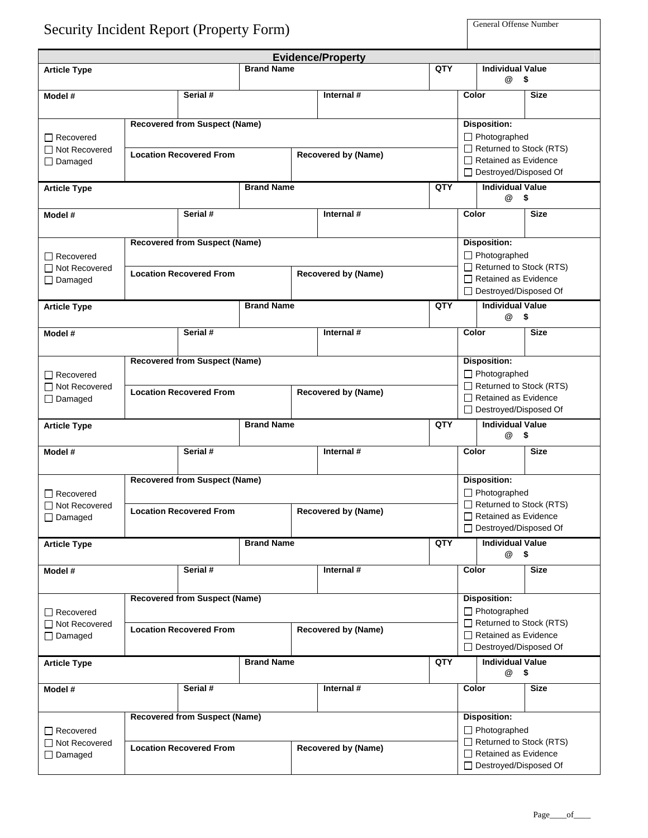| <b>Security Incident Report (Property Form)</b> | <b>General Offense Number</b> |
|-------------------------------------------------|-------------------------------|
|-------------------------------------------------|-------------------------------|

|                                                            |                                                                                                      |                                                                                                      |                   |                            | <b>Evidence/Property</b>                                                                                                        |                                                                                                                          |                                                                                                                                        |                                              |             |
|------------------------------------------------------------|------------------------------------------------------------------------------------------------------|------------------------------------------------------------------------------------------------------|-------------------|----------------------------|---------------------------------------------------------------------------------------------------------------------------------|--------------------------------------------------------------------------------------------------------------------------|----------------------------------------------------------------------------------------------------------------------------------------|----------------------------------------------|-------------|
| <b>Article Type</b>                                        |                                                                                                      |                                                                                                      | <b>Brand Name</b> |                            |                                                                                                                                 | QTY                                                                                                                      |                                                                                                                                        | <b>Individual Value</b><br>$\omega$ \$       |             |
| Model #                                                    | Serial #                                                                                             |                                                                                                      |                   | Internal #                 |                                                                                                                                 |                                                                                                                          | Color                                                                                                                                  |                                              | <b>Size</b> |
| $\Box$ Recovered<br>□ Not Recovered<br>$\Box$ Damaged      | <b>Recovered from Suspect (Name)</b><br><b>Location Recovered From</b>                               |                                                                                                      |                   | <b>Recovered by (Name)</b> |                                                                                                                                 |                                                                                                                          | <b>Disposition:</b><br>$\Box$ Photographed<br>$\Box$ Returned to Stock (RTS)<br>$\Box$ Retained as Evidence<br>□ Destroyed/Disposed Of |                                              |             |
| <b>Article Type</b>                                        |                                                                                                      |                                                                                                      | <b>Brand Name</b> |                            |                                                                                                                                 | QTY                                                                                                                      |                                                                                                                                        | <b>Individual Value</b><br>@<br>$\mathbf{s}$ |             |
| Model #                                                    |                                                                                                      | Serial #                                                                                             |                   |                            | Internal #                                                                                                                      |                                                                                                                          | Color                                                                                                                                  |                                              | <b>Size</b> |
| $\Box$ Recovered<br>$\Box$ Not Recovered<br>$\Box$ Damaged | <b>Recovered from Suspect (Name)</b><br><b>Location Recovered From</b><br><b>Recovered by (Name)</b> |                                                                                                      |                   |                            |                                                                                                                                 | <b>Disposition:</b><br>$\Box$ Photographed<br>Returned to Stock (RTS)<br>Retained as Evidence<br>□ Destroyed/Disposed Of |                                                                                                                                        |                                              |             |
| <b>Article Type</b>                                        |                                                                                                      |                                                                                                      | <b>Brand Name</b> |                            |                                                                                                                                 | <b>QTY</b>                                                                                                               | <b>Individual Value</b><br>@                                                                                                           |                                              | - \$        |
| Model #                                                    |                                                                                                      | Serial #                                                                                             |                   |                            | Internal #                                                                                                                      |                                                                                                                          | Color                                                                                                                                  |                                              | <b>Size</b> |
| $\Box$ Recovered<br>□ Not Recovered<br>$\Box$ Damaged      | <b>Recovered from Suspect (Name)</b><br><b>Location Recovered From</b><br><b>Recovered by (Name)</b> |                                                                                                      |                   |                            |                                                                                                                                 |                                                                                                                          | <b>Disposition:</b><br>Photographed<br>$\Box$ Returned to Stock (RTS)<br>Retained as Evidence<br>□ Destroyed/Disposed Of               |                                              |             |
| <b>Article Type</b>                                        |                                                                                                      |                                                                                                      | <b>Brand Name</b> |                            |                                                                                                                                 | <b>QTY</b>                                                                                                               |                                                                                                                                        | <b>Individual Value</b><br>@<br>- \$         |             |
| Model #                                                    |                                                                                                      | Serial #                                                                                             |                   |                            | Internal #                                                                                                                      |                                                                                                                          | Color                                                                                                                                  |                                              | <b>Size</b> |
| $\Box$ Recovered<br>$\Box$ Not Recovered<br>$\Box$ Damaged |                                                                                                      | <b>Recovered from Suspect (Name)</b><br><b>Location Recovered From</b><br><b>Recovered by (Name)</b> |                   |                            |                                                                                                                                 | <b>Disposition:</b><br>$\Box$ Photographed<br>Returned to Stock (RTS)<br>Retained as Evidence<br>□ Destroyed/Disposed Of |                                                                                                                                        |                                              |             |
| <b>Article Type</b>                                        | <b>Brand Name</b>                                                                                    |                                                                                                      |                   | <b>QTY</b>                 |                                                                                                                                 | <b>Individual Value</b><br>@ \$                                                                                          |                                                                                                                                        |                                              |             |
| Model #                                                    |                                                                                                      | Serial #                                                                                             |                   |                            | Internal $#$                                                                                                                    |                                                                                                                          | Color                                                                                                                                  |                                              | <b>Size</b> |
| $\Box$ Recovered<br>$\Box$ Not Recovered<br>$\Box$ Damaged |                                                                                                      | <b>Recovered from Suspect (Name)</b><br><b>Location Recovered From</b><br><b>Recovered by (Name)</b> |                   |                            |                                                                                                                                 |                                                                                                                          | <b>Disposition:</b><br>□ Photographed<br>Returned to Stock (RTS)<br>$\Box$ Retained as Evidence<br>□ Destroyed/Disposed Of             |                                              |             |
| <b>Article Type</b>                                        |                                                                                                      |                                                                                                      | <b>Brand Name</b> |                            |                                                                                                                                 | QTY                                                                                                                      |                                                                                                                                        | <b>Individual Value</b><br>@<br>- \$         |             |
| Model #                                                    |                                                                                                      | Serial #                                                                                             |                   |                            | Internal #                                                                                                                      |                                                                                                                          | Color                                                                                                                                  |                                              | <b>Size</b> |
| $\Box$ Recovered<br>□ Not Recovered<br>$\Box$ Damaged      | <b>Recovered from Suspect (Name)</b><br><b>Location Recovered From</b><br><b>Recovered by (Name)</b> |                                                                                                      |                   |                            | <b>Disposition:</b><br>$\Box$ Photographed<br>Returned to Stock (RTS)<br>$\Box$ Retained as Evidence<br>□ Destroyed/Disposed Of |                                                                                                                          |                                                                                                                                        |                                              |             |